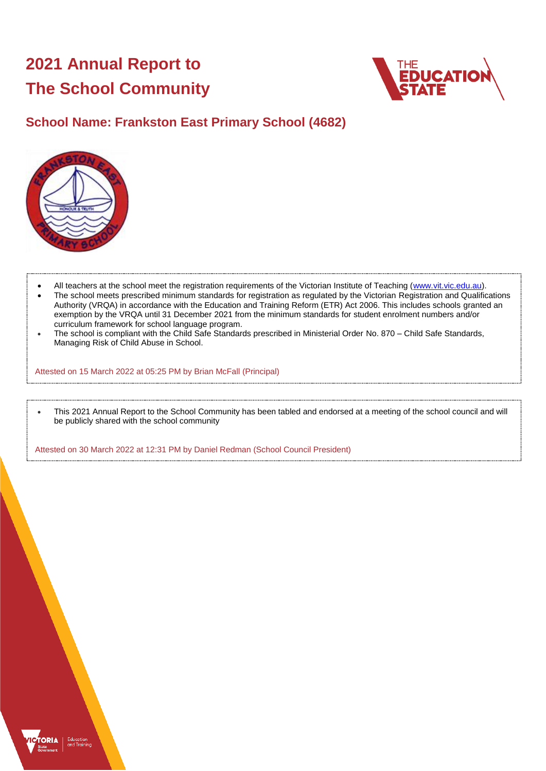# **2021 Annual Report to The School Community**



## **School Name: Frankston East Primary School (4682)**



- All teachers at the school meet the registration requirements of the Victorian Institute of Teaching [\(www.vit.vic.edu.au\)](https://www.vit.vic.edu.au/).
- The school meets prescribed minimum standards for registration as regulated by the Victorian Registration and Qualifications Authority (VRQA) in accordance with the Education and Training Reform (ETR) Act 2006. This includes schools granted an exemption by the VRQA until 31 December 2021 from the minimum standards for student enrolment numbers and/or curriculum framework for school language program.
- The school is compliant with the Child Safe Standards prescribed in Ministerial Order No. 870 Child Safe Standards, Managing Risk of Child Abuse in School.

Attested on 15 March 2022 at 05:25 PM by Brian McFall (Principal)

 This 2021 Annual Report to the School Community has been tabled and endorsed at a meeting of the school council and will be publicly shared with the school community

Attested on 30 March 2022 at 12:31 PM by Daniel Redman (School Council President)

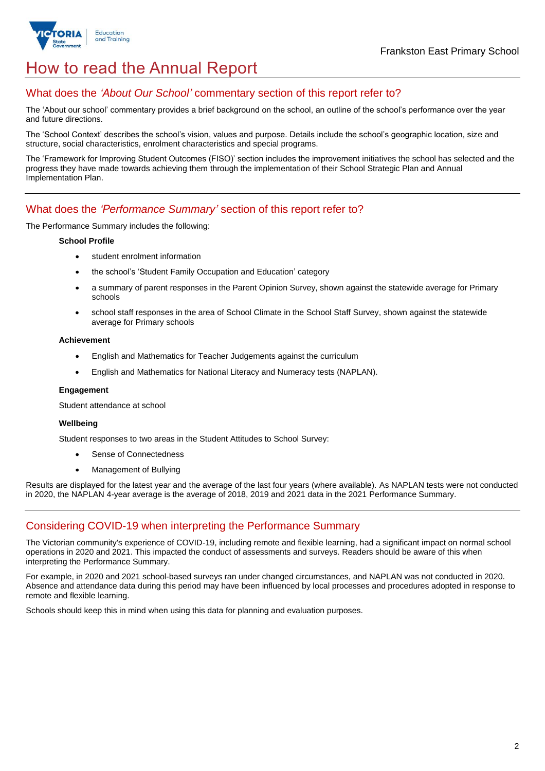

## How to read the Annual Report

## What does the *'About Our School'* commentary section of this report refer to?

The 'About our school' commentary provides a brief background on the school, an outline of the school's performance over the year and future directions.

The 'School Context' describes the school's vision, values and purpose. Details include the school's geographic location, size and structure, social characteristics, enrolment characteristics and special programs.

The 'Framework for Improving Student Outcomes (FISO)' section includes the improvement initiatives the school has selected and the progress they have made towards achieving them through the implementation of their School Strategic Plan and Annual Implementation Plan.

### What does the *'Performance Summary'* section of this report refer to?

The Performance Summary includes the following:

#### **School Profile**

- student enrolment information
- the school's 'Student Family Occupation and Education' category
- a summary of parent responses in the Parent Opinion Survey, shown against the statewide average for Primary schools
- school staff responses in the area of School Climate in the School Staff Survey, shown against the statewide average for Primary schools

#### **Achievement**

- English and Mathematics for Teacher Judgements against the curriculum
- English and Mathematics for National Literacy and Numeracy tests (NAPLAN).

#### **Engagement**

Student attendance at school

#### **Wellbeing**

Student responses to two areas in the Student Attitudes to School Survey:

- Sense of Connectedness
- Management of Bullying

Results are displayed for the latest year and the average of the last four years (where available). As NAPLAN tests were not conducted in 2020, the NAPLAN 4-year average is the average of 2018, 2019 and 2021 data in the 2021 Performance Summary.

## Considering COVID-19 when interpreting the Performance Summary

The Victorian community's experience of COVID-19, including remote and flexible learning, had a significant impact on normal school operations in 2020 and 2021. This impacted the conduct of assessments and surveys. Readers should be aware of this when interpreting the Performance Summary.

For example, in 2020 and 2021 school-based surveys ran under changed circumstances, and NAPLAN was not conducted in 2020. Absence and attendance data during this period may have been influenced by local processes and procedures adopted in response to remote and flexible learning.

Schools should keep this in mind when using this data for planning and evaluation purposes.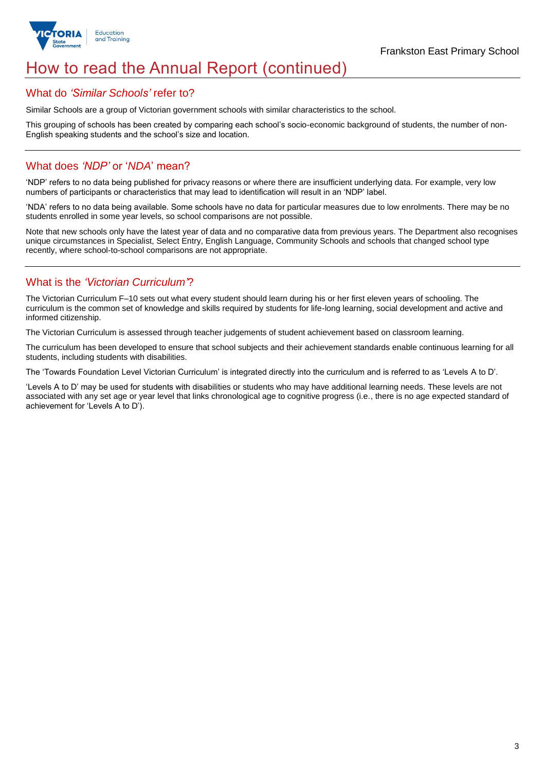

## How to read the Annual Report (continued)

### What do *'Similar Schools'* refer to?

Similar Schools are a group of Victorian government schools with similar characteristics to the school.

This grouping of schools has been created by comparing each school's socio-economic background of students, the number of non-English speaking students and the school's size and location.

### What does *'NDP'* or '*NDA*' mean?

'NDP' refers to no data being published for privacy reasons or where there are insufficient underlying data. For example, very low numbers of participants or characteristics that may lead to identification will result in an 'NDP' label.

'NDA' refers to no data being available. Some schools have no data for particular measures due to low enrolments. There may be no students enrolled in some year levels, so school comparisons are not possible.

Note that new schools only have the latest year of data and no comparative data from previous years. The Department also recognises unique circumstances in Specialist, Select Entry, English Language, Community Schools and schools that changed school type recently, where school-to-school comparisons are not appropriate.

## What is the *'Victorian Curriculum'*?

The Victorian Curriculum F–10 sets out what every student should learn during his or her first eleven years of schooling. The curriculum is the common set of knowledge and skills required by students for life-long learning, social development and active and informed citizenship.

The Victorian Curriculum is assessed through teacher judgements of student achievement based on classroom learning.

The curriculum has been developed to ensure that school subjects and their achievement standards enable continuous learning for all students, including students with disabilities.

The 'Towards Foundation Level Victorian Curriculum' is integrated directly into the curriculum and is referred to as 'Levels A to D'.

'Levels A to D' may be used for students with disabilities or students who may have additional learning needs. These levels are not associated with any set age or year level that links chronological age to cognitive progress (i.e., there is no age expected standard of achievement for 'Levels A to D').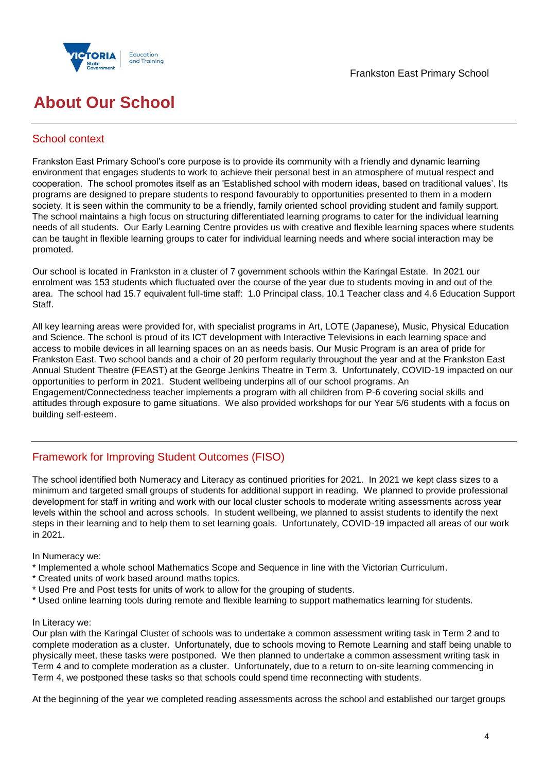



## **About Our School**

## School context

Frankston East Primary School's core purpose is to provide its community with a friendly and dynamic learning environment that engages students to work to achieve their personal best in an atmosphere of mutual respect and cooperation. The school promotes itself as an 'Established school with modern ideas, based on traditional values'. Its programs are designed to prepare students to respond favourably to opportunities presented to them in a modern society. It is seen within the community to be a friendly, family oriented school providing student and family support. The school maintains a high focus on structuring differentiated learning programs to cater for the individual learning needs of all students. Our Early Learning Centre provides us with creative and flexible learning spaces where students can be taught in flexible learning groups to cater for individual learning needs and where social interaction may be promoted.

Our school is located in Frankston in a cluster of 7 government schools within the Karingal Estate. In 2021 our enrolment was 153 students which fluctuated over the course of the year due to students moving in and out of the area. The school had 15.7 equivalent full-time staff: 1.0 Principal class, 10.1 Teacher class and 4.6 Education Support Staff.

All key learning areas were provided for, with specialist programs in Art, LOTE (Japanese), Music, Physical Education and Science. The school is proud of its ICT development with Interactive Televisions in each learning space and access to mobile devices in all learning spaces on an as needs basis. Our Music Program is an area of pride for Frankston East. Two school bands and a choir of 20 perform regularly throughout the year and at the Frankston East Annual Student Theatre (FEAST) at the George Jenkins Theatre in Term 3. Unfortunately, COVID-19 impacted on our opportunities to perform in 2021. Student wellbeing underpins all of our school programs. An Engagement/Connectedness teacher implements a program with all children from P-6 covering social skills and attitudes through exposure to game situations. We also provided workshops for our Year 5/6 students with a focus on building self-esteem.

## Framework for Improving Student Outcomes (FISO)

The school identified both Numeracy and Literacy as continued priorities for 2021. In 2021 we kept class sizes to a minimum and targeted small groups of students for additional support in reading. We planned to provide professional development for staff in writing and work with our local cluster schools to moderate writing assessments across year levels within the school and across schools. In student wellbeing, we planned to assist students to identify the next steps in their learning and to help them to set learning goals. Unfortunately, COVID-19 impacted all areas of our work in 2021.

In Numeracy we:

- \* Implemented a whole school Mathematics Scope and Sequence in line with the Victorian Curriculum.
- \* Created units of work based around maths topics.
- \* Used Pre and Post tests for units of work to allow for the grouping of students.
- \* Used online learning tools during remote and flexible learning to support mathematics learning for students.

#### In Literacy we:

Our plan with the Karingal Cluster of schools was to undertake a common assessment writing task in Term 2 and to complete moderation as a cluster. Unfortunately, due to schools moving to Remote Learning and staff being unable to physically meet, these tasks were postponed. We then planned to undertake a common assessment writing task in Term 4 and to complete moderation as a cluster. Unfortunately, due to a return to on-site learning commencing in Term 4, we postponed these tasks so that schools could spend time reconnecting with students.

At the beginning of the year we completed reading assessments across the school and established our target groups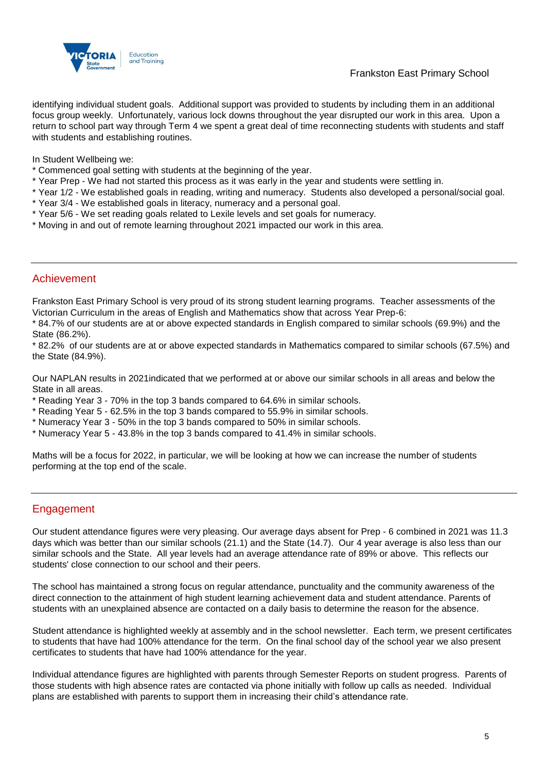

identifying individual student goals. Additional support was provided to students by including them in an additional focus group weekly. Unfortunately, various lock downs throughout the year disrupted our work in this area. Upon a return to school part way through Term 4 we spent a great deal of time reconnecting students with students and staff with students and establishing routines.

In Student Wellbeing we:

- \* Commenced goal setting with students at the beginning of the year.
- \* Year Prep We had not started this process as it was early in the year and students were settling in.
- \* Year 1/2 We established goals in reading, writing and numeracy. Students also developed a personal/social goal.
- \* Year 3/4 We established goals in literacy, numeracy and a personal goal.
- \* Year 5/6 We set reading goals related to Lexile levels and set goals for numeracy.
- \* Moving in and out of remote learning throughout 2021 impacted our work in this area.

#### Achievement

Frankston East Primary School is very proud of its strong student learning programs. Teacher assessments of the Victorian Curriculum in the areas of English and Mathematics show that across Year Prep-6:

\* 84.7% of our students are at or above expected standards in English compared to similar schools (69.9%) and the State (86.2%).

\* 82.2% of our students are at or above expected standards in Mathematics compared to similar schools (67.5%) and the State (84.9%).

Our NAPLAN results in 2021indicated that we performed at or above our similar schools in all areas and below the State in all areas.

- \* Reading Year 3 70% in the top 3 bands compared to 64.6% in similar schools.
- \* Reading Year 5 62.5% in the top 3 bands compared to 55.9% in similar schools.
- \* Numeracy Year 3 50% in the top 3 bands compared to 50% in similar schools.
- \* Numeracy Year 5 43.8% in the top 3 bands compared to 41.4% in similar schools.

Maths will be a focus for 2022, in particular, we will be looking at how we can increase the number of students performing at the top end of the scale.

### Engagement

Our student attendance figures were very pleasing. Our average days absent for Prep - 6 combined in 2021 was 11.3 days which was better than our similar schools (21.1) and the State (14.7). Our 4 year average is also less than our similar schools and the State. All year levels had an average attendance rate of 89% or above. This reflects our students' close connection to our school and their peers.

The school has maintained a strong focus on regular attendance, punctuality and the community awareness of the direct connection to the attainment of high student learning achievement data and student attendance. Parents of students with an unexplained absence are contacted on a daily basis to determine the reason for the absence.

Student attendance is highlighted weekly at assembly and in the school newsletter. Each term, we present certificates to students that have had 100% attendance for the term. On the final school day of the school year we also present certificates to students that have had 100% attendance for the year.

Individual attendance figures are highlighted with parents through Semester Reports on student progress. Parents of those students with high absence rates are contacted via phone initially with follow up calls as needed. Individual plans are established with parents to support them in increasing their child's attendance rate.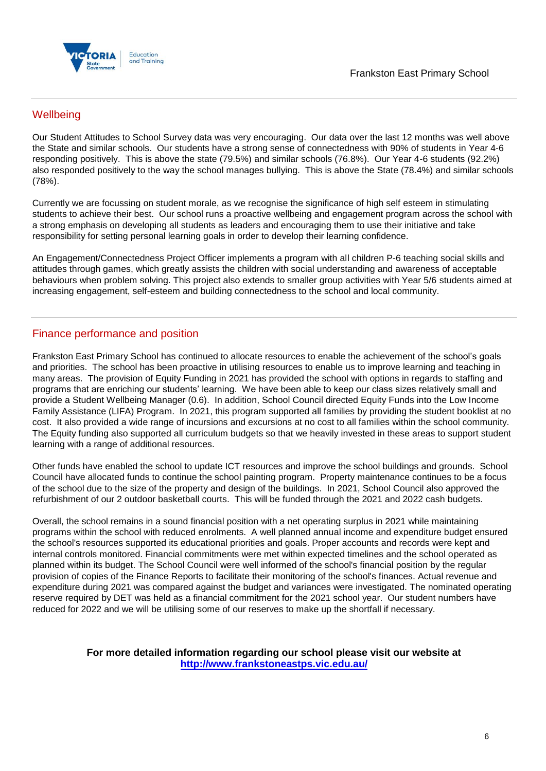

## **Wellbeing**

Our Student Attitudes to School Survey data was very encouraging. Our data over the last 12 months was well above the State and similar schools. Our students have a strong sense of connectedness with 90% of students in Year 4-6 responding positively. This is above the state (79.5%) and similar schools (76.8%). Our Year 4-6 students (92.2%) also responded positively to the way the school manages bullying. This is above the State (78.4%) and similar schools (78%).

Currently we are focussing on student morale, as we recognise the significance of high self esteem in stimulating students to achieve their best. Our school runs a proactive wellbeing and engagement program across the school with a strong emphasis on developing all students as leaders and encouraging them to use their initiative and take responsibility for setting personal learning goals in order to develop their learning confidence.

An Engagement/Connectedness Project Officer implements a program with all children P-6 teaching social skills and attitudes through games, which greatly assists the children with social understanding and awareness of acceptable behaviours when problem solving. This project also extends to smaller group activities with Year 5/6 students aimed at increasing engagement, self-esteem and building connectedness to the school and local community.

## Finance performance and position

Frankston East Primary School has continued to allocate resources to enable the achievement of the school's goals and priorities. The school has been proactive in utilising resources to enable us to improve learning and teaching in many areas. The provision of Equity Funding in 2021 has provided the school with options in regards to staffing and programs that are enriching our students' learning. We have been able to keep our class sizes relatively small and provide a Student Wellbeing Manager (0.6). In addition, School Council directed Equity Funds into the Low Income Family Assistance (LIFA) Program. In 2021, this program supported all families by providing the student booklist at no cost. It also provided a wide range of incursions and excursions at no cost to all families within the school community. The Equity funding also supported all curriculum budgets so that we heavily invested in these areas to support student learning with a range of additional resources.

Other funds have enabled the school to update ICT resources and improve the school buildings and grounds. School Council have allocated funds to continue the school painting program. Property maintenance continues to be a focus of the school due to the size of the property and design of the buildings. In 2021, School Council also approved the refurbishment of our 2 outdoor basketball courts. This will be funded through the 2021 and 2022 cash budgets.

Overall, the school remains in a sound financial position with a net operating surplus in 2021 while maintaining programs within the school with reduced enrolments. A well planned annual income and expenditure budget ensured the school's resources supported its educational priorities and goals. Proper accounts and records were kept and internal controls monitored. Financial commitments were met within expected timelines and the school operated as planned within its budget. The School Council were well informed of the school's financial position by the regular provision of copies of the Finance Reports to facilitate their monitoring of the school's finances. Actual revenue and expenditure during 2021 was compared against the budget and variances were investigated. The nominated operating reserve required by DET was held as a financial commitment for the 2021 school year. Our student numbers have reduced for 2022 and we will be utilising some of our reserves to make up the shortfall if necessary.

> **For more detailed information regarding our school please visit our website at <http://www.frankstoneastps.vic.edu.au/>**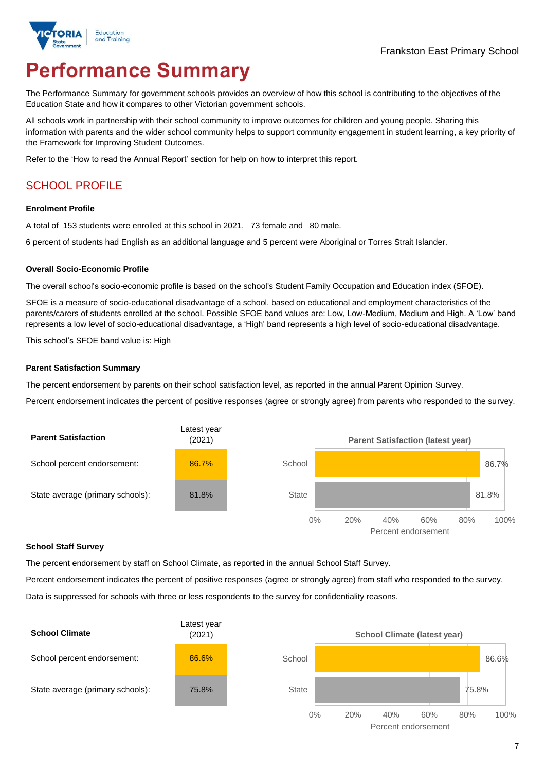

# **Performance Summary**

The Performance Summary for government schools provides an overview of how this school is contributing to the objectives of the Education State and how it compares to other Victorian government schools.

All schools work in partnership with their school community to improve outcomes for children and young people. Sharing this information with parents and the wider school community helps to support community engagement in student learning, a key priority of the Framework for Improving Student Outcomes.

Refer to the 'How to read the Annual Report' section for help on how to interpret this report.

## SCHOOL PROFILE

#### **Enrolment Profile**

A total of 153 students were enrolled at this school in 2021, 73 female and 80 male.

6 percent of students had English as an additional language and 5 percent were Aboriginal or Torres Strait Islander.

#### **Overall Socio-Economic Profile**

The overall school's socio-economic profile is based on the school's Student Family Occupation and Education index (SFOE).

SFOE is a measure of socio-educational disadvantage of a school, based on educational and employment characteristics of the parents/carers of students enrolled at the school. Possible SFOE band values are: Low, Low-Medium, Medium and High. A 'Low' band represents a low level of socio-educational disadvantage, a 'High' band represents a high level of socio-educational disadvantage.

This school's SFOE band value is: High

#### **Parent Satisfaction Summary**

The percent endorsement by parents on their school satisfaction level, as reported in the annual Parent Opinion Survey.

Percent endorsement indicates the percent of positive responses (agree or strongly agree) from parents who responded to the survey.



#### **School Staff Survey**

The percent endorsement by staff on School Climate, as reported in the annual School Staff Survey.

Percent endorsement indicates the percent of positive responses (agree or strongly agree) from staff who responded to the survey. Data is suppressed for schools with three or less respondents to the survey for confidentiality reasons.

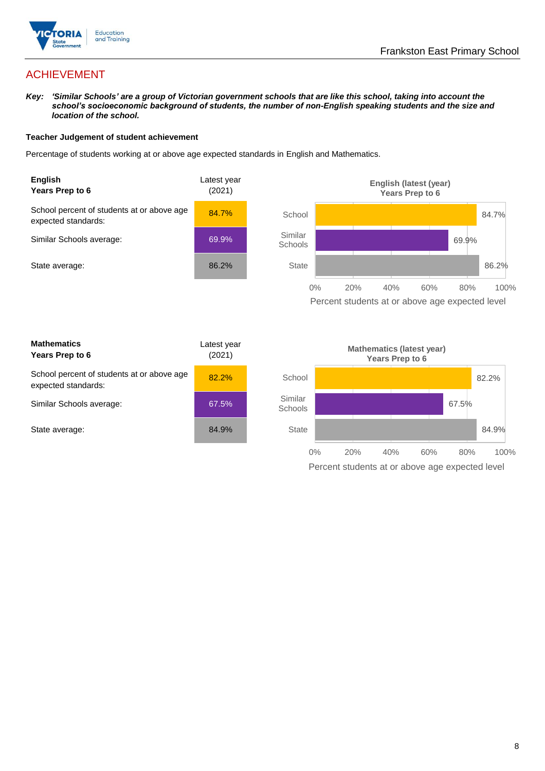

## ACHIEVEMENT

*Key: 'Similar Schools' are a group of Victorian government schools that are like this school, taking into account the school's socioeconomic background of students, the number of non-English speaking students and the size and location of the school.*

#### **Teacher Judgement of student achievement**

Percentage of students working at or above age expected standards in English and Mathematics.



Percent students at or above age expected level

| <b>Mathematics</b><br>Years Prep to 6                             | Latest year<br>(2021) |
|-------------------------------------------------------------------|-----------------------|
| School percent of students at or above age<br>expected standards: | 82.2%                 |
| Similar Schools average:                                          | 67.5%                 |
| State average:                                                    | 84.9%                 |

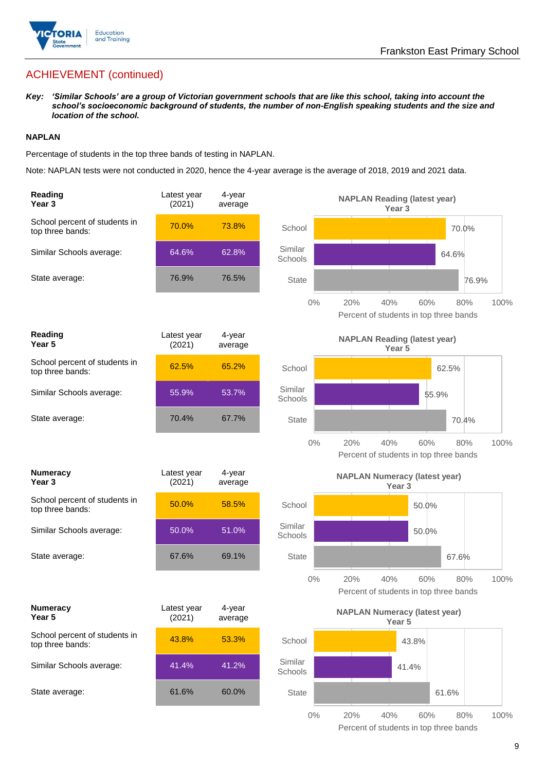

## ACHIEVEMENT (continued)

*Key: 'Similar Schools' are a group of Victorian government schools that are like this school, taking into account the school's socioeconomic background of students, the number of non-English speaking students and the size and location of the school.*

#### **NAPLAN**

Percentage of students in the top three bands of testing in NAPLAN.

Note: NAPLAN tests were not conducted in 2020, hence the 4-year average is the average of 2018, 2019 and 2021 data.

| Reading<br>Year <sub>3</sub>                      | Latest year<br>(2021) | 4-year<br>average |                    | <b>NAPLAN Reading (latest year)</b><br>Year <sub>3</sub>                   |
|---------------------------------------------------|-----------------------|-------------------|--------------------|----------------------------------------------------------------------------|
| School percent of students in<br>top three bands: | 70.0%                 | 73.8%             | School             | 70.0%                                                                      |
| Similar Schools average:                          | 64.6%                 | 62.8%             | Similar<br>Schools | 64.6%                                                                      |
| State average:                                    | 76.9%                 | 76.5%             | <b>State</b>       | 76.9%                                                                      |
|                                                   |                       |                   | $0\%$              | 20%<br>60%<br>40%<br>80%<br>100%<br>Percent of students in top three bands |
| Reading<br>Year <sub>5</sub>                      | Latest year<br>(2021) | 4-year<br>average |                    | <b>NAPLAN Reading (latest year)</b><br>Year 5                              |
| School percent of students in<br>top three bands: | 62.5%                 | 65.2%             | School             | 62.5%                                                                      |
| Similar Schools average:                          | 55.9%                 | 53.7%             | Similar<br>Schools | 55.9%                                                                      |
| State average:                                    | 70.4%                 | 67.7%             | <b>State</b>       | 70.4%                                                                      |
|                                                   |                       |                   | $0\%$              | 20%<br>40%<br>60%<br>80%<br>100%<br>Percent of students in top three bands |
| <b>Numeracy</b><br>Year <sub>3</sub>              | Latest year<br>(2021) | 4-year<br>average |                    | <b>NAPLAN Numeracy (latest year)</b><br>Year <sub>3</sub>                  |
|                                                   |                       |                   |                    |                                                                            |
| School percent of students in<br>top three bands: | 50.0%                 | 58.5%             | School             | 50.0%                                                                      |
| Similar Schools average:                          | 50.0%                 | 51.0%             | Similar<br>Schools | 50.0%                                                                      |
| State average:                                    | 67.6%                 | 69.1%             | <b>State</b>       | 67.6%                                                                      |
|                                                   |                       |                   | $0\%$              | 100%<br>20%<br>40%<br>60%<br>80%<br>Percent of students in top three bands |
| <b>Numeracy</b><br>Year 5                         | Latest year<br>(2021) | 4-year<br>average |                    | <b>NAPLAN Numeracy (latest year)</b><br>Year <sub>5</sub>                  |
| School percent of students in<br>top three bands: | 43.8%                 | 53.3%             | School             | 43.8%                                                                      |
| Similar Schools average:                          | 41.4%                 | 41.2%             | Similar<br>Schools | 41.4%                                                                      |
| State average:                                    | 61.6%                 | 60.0%             | <b>State</b>       | 61.6%                                                                      |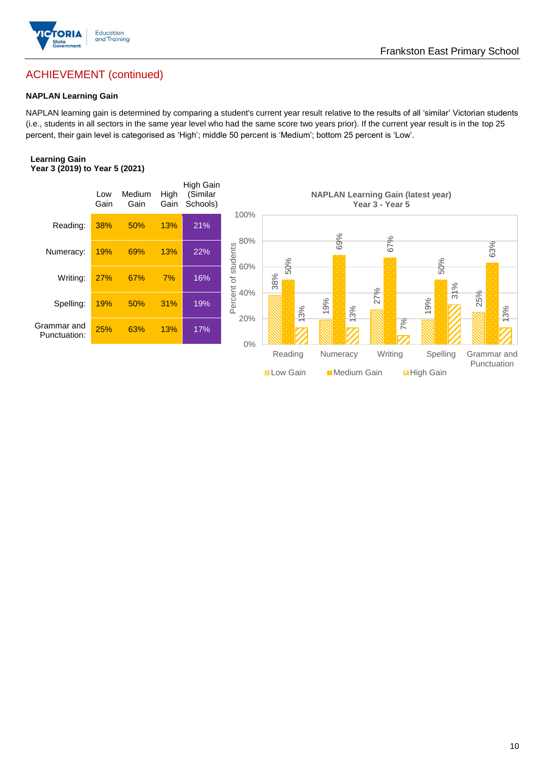

## Frankston East Primary School

## ACHIEVEMENT (continued)

#### **NAPLAN Learning Gain**

NAPLAN learning gain is determined by comparing a student's current year result relative to the results of all 'similar' Victorian students (i.e., students in all sectors in the same year level who had the same score two years prior). If the current year result is in the top 25 percent, their gain level is categorised as 'High'; middle 50 percent is 'Medium'; bottom 25 percent is 'Low'.

#### **Learning Gain Year 3 (2019) to Year 5 (2021)**



**BLow Gain** Medium Gain **Example 10**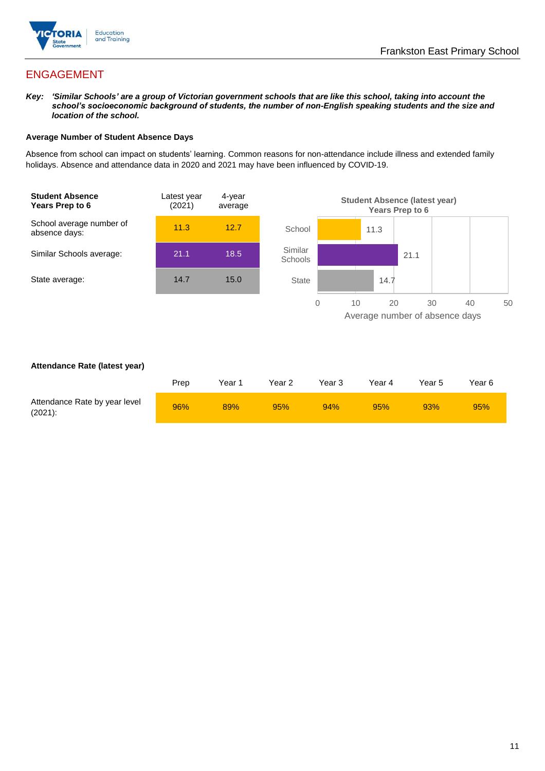

## ENGAGEMENT

*Key: 'Similar Schools' are a group of Victorian government schools that are like this school, taking into account the school's socioeconomic background of students, the number of non-English speaking students and the size and location of the school.*

#### **Average Number of Student Absence Days**

Absence from school can impact on students' learning. Common reasons for non-attendance include illness and extended family holidays. Absence and attendance data in 2020 and 2021 may have been influenced by COVID-19.



#### **Attendance Rate (latest year)**

|                                             | Prep | Year 1 | Year 2 | Year 3 | Year 4 | Year 5 | Year 6 |
|---------------------------------------------|------|--------|--------|--------|--------|--------|--------|
| Attendance Rate by year level<br>$(2021)$ : | 96%  | 89%    | 95%    | 94%    | 95%    | 93%    | 95%    |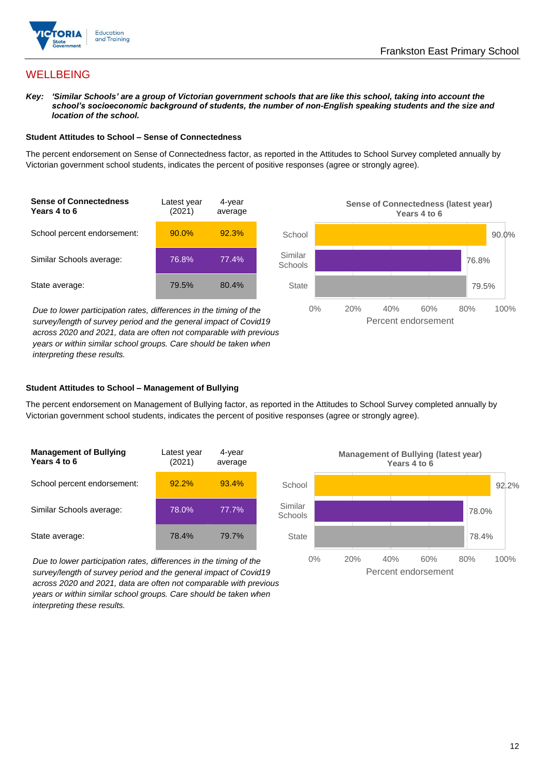

## **WELLBEING**

*Key: 'Similar Schools' are a group of Victorian government schools that are like this school, taking into account the school's socioeconomic background of students, the number of non-English speaking students and the size and location of the school.*

#### **Student Attitudes to School – Sense of Connectedness**

The percent endorsement on Sense of Connectedness factor, as reported in the Attitudes to School Survey completed annually by Victorian government school students, indicates the percent of positive responses (agree or strongly agree).



*Due to lower participation rates, differences in the timing of the survey/length of survey period and the general impact of Covid19 across 2020 and 2021, data are often not comparable with previous years or within similar school groups. Care should be taken when interpreting these results.*



#### **Student Attitudes to School – Management of Bullying**

The percent endorsement on Management of Bullying factor, as reported in the Attitudes to School Survey completed annually by Victorian government school students, indicates the percent of positive responses (agree or strongly agree).

| <b>Management of Bullying</b><br>Years 4 to 6 | Latest year<br>(2021) | 4-year<br>average |  |
|-----------------------------------------------|-----------------------|-------------------|--|
| School percent endorsement:                   | 92.2%                 | 93.4%             |  |
| Similar Schools average:                      | 78.0%                 | 77.7%             |  |
| State average:                                | 78.4%                 | 79.7%             |  |

*Due to lower participation rates, differences in the timing of the survey/length of survey period and the general impact of Covid19 across 2020 and 2021, data are often not comparable with previous years or within similar school groups. Care should be taken when interpreting these results.*

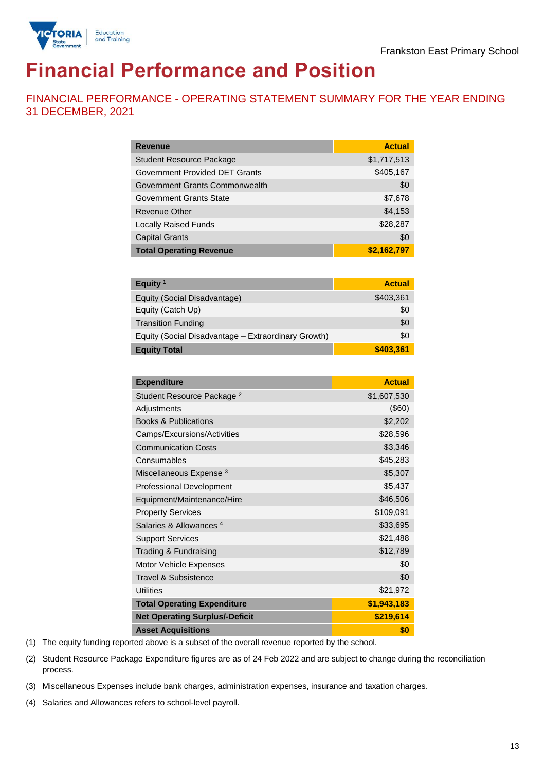

# **Financial Performance and Position**

FINANCIAL PERFORMANCE - OPERATING STATEMENT SUMMARY FOR THE YEAR ENDING 31 DECEMBER, 2021

| <b>Revenue</b>                  | <b>Actual</b> |
|---------------------------------|---------------|
| <b>Student Resource Package</b> | \$1,717,513   |
| Government Provided DET Grants  | \$405,167     |
| Government Grants Commonwealth  | \$0           |
| Government Grants State         | \$7,678       |
| Revenue Other                   | \$4,153       |
| <b>Locally Raised Funds</b>     | \$28,287      |
| <b>Capital Grants</b>           | \$0           |
| <b>Total Operating Revenue</b>  | \$2,162,797   |

| Equity <sup>1</sup>                                 | <b>Actual</b> |
|-----------------------------------------------------|---------------|
| Equity (Social Disadvantage)                        | \$403,361     |
| Equity (Catch Up)                                   | \$0           |
| <b>Transition Funding</b>                           | \$0           |
| Equity (Social Disadvantage - Extraordinary Growth) | \$0           |
| <b>Equity Total</b>                                 | \$403,361     |

| <b>Expenditure</b>                    | <b>Actual</b> |
|---------------------------------------|---------------|
| Student Resource Package <sup>2</sup> | \$1,607,530   |
| Adjustments                           | $($ \$60)     |
| <b>Books &amp; Publications</b>       | \$2,202       |
| Camps/Excursions/Activities           | \$28,596      |
| <b>Communication Costs</b>            | \$3,346       |
| Consumables                           | \$45,283      |
| Miscellaneous Expense <sup>3</sup>    | \$5,307       |
| <b>Professional Development</b>       | \$5,437       |
| Equipment/Maintenance/Hire            | \$46,506      |
| <b>Property Services</b>              | \$109,091     |
| Salaries & Allowances <sup>4</sup>    | \$33,695      |
| <b>Support Services</b>               | \$21,488      |
| Trading & Fundraising                 | \$12,789      |
| <b>Motor Vehicle Expenses</b>         | \$0           |
| Travel & Subsistence                  | \$0           |
| <b>Utilities</b>                      | \$21,972      |
| <b>Total Operating Expenditure</b>    | \$1,943,183   |
| <b>Net Operating Surplus/-Deficit</b> | \$219,614     |
| <b>Asset Acquisitions</b>             | \$0           |

(1) The equity funding reported above is a subset of the overall revenue reported by the school.

(2) Student Resource Package Expenditure figures are as of 24 Feb 2022 and are subject to change during the reconciliation process.

(3) Miscellaneous Expenses include bank charges, administration expenses, insurance and taxation charges.

(4) Salaries and Allowances refers to school-level payroll.